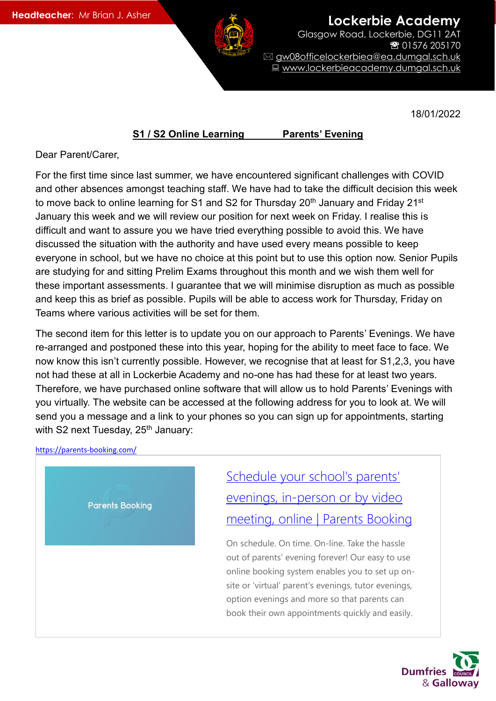**Lockerbie Academy** 

Glasgow Road, Lockerbie, DG11 2AT 01576 205170 gw08officelockerbiea@ea.dumgal.sch.uk ■ www.lockerbieacademy.dumgal.sch.uk

18/01/2022

## **S1 / S2 Online Learning Parents' Evening**

Dear Parent/Carer,

For the first time since last summer, we have encountered significant challenges with COVID and other absences amongst teaching staff. We have had to take the difficult decision this week to move back to online learning for S1 and S2 for Thursday  $20<sup>th</sup>$  January and Friday  $21<sup>st</sup>$ January this week and we will review our position for next week on Friday. I realise this is difficult and want to assure you we have tried everything possible to avoid this. We have discussed the situation with the authority and have used every means possible to keep everyone in school, but we have no choice at this point but to use this option now. Senior Pupils are studying for and sitting Prelim Exams throughout this month and we wish them well for these important assessments. I guarantee that we will minimise disruption as much as possible and keep this as brief as possible. Pupils will be able to access work for Thursday, Friday on Teams where various activities will be set for them.

The second item for this letter is to update you on our approach to Parents' Evenings. We have re-arranged and postponed these into this year, hoping for the ability to meet face to face. We now know this isn't currently possible. However, we recognise that at least for S1,2,3, you have not had these at all in Lockerbie Academy and no-one has had these for at least two years. Therefore, we have purchased online software that will allow us to hold Parents' Evenings with you virtually. The website can be accessed at the following address for you to look at. We will send you a message and a link to your phones so you can sign up for appointments, starting with S2 next Tuesday, 25<sup>th</sup> January:

## <https://parents-booking.com/>



[Schedule](https://parents-booking.com/) your school's parents' evenings, [in-person](https://parents-booking.com/) or by video [meeting,](https://parents-booking.com/) online | Parents Booking

On schedule. On time. On-line. Take the hassle out of parents' evening forever! Our easy to use online booking system enables you to set up onsite or 'virtual' parent's evenings, tutor evenings, option evenings and more so that parents can book their own appointments quickly and easily.